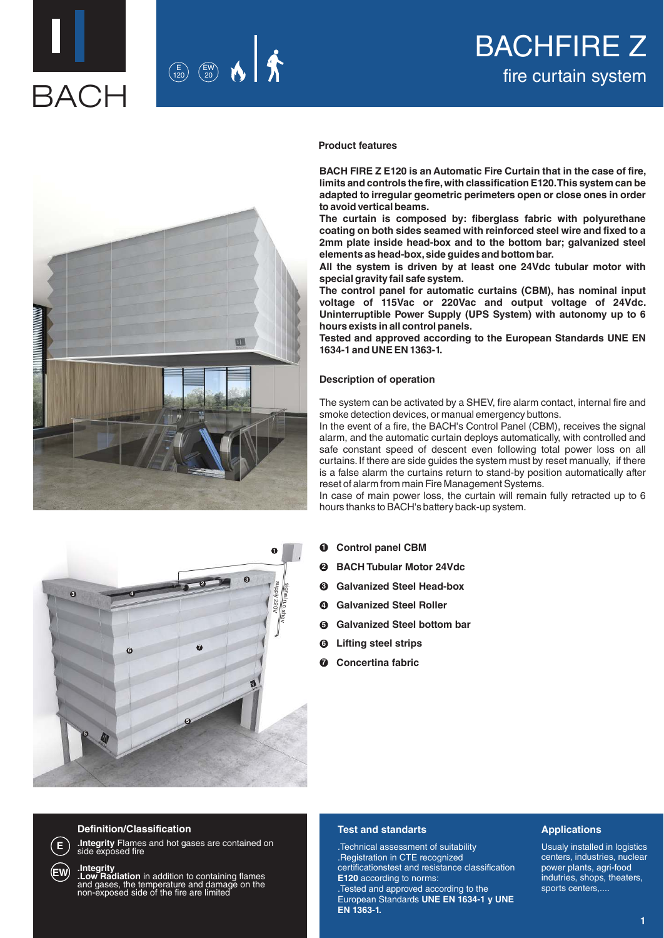



# **Product features**

**BACH FIRE Z E120 is an Automatic Fire Curtain that in the case of fire, limits and controls the fire, with classification E120. This system can be adapted to irregular geometric perimeters open or close ones in order to avoid vertical beams.**

**The curtain is composed by: fiberglass fabric with polyurethane coating on both sides seamed with reinforced steel wire and fixed to a 2mm plate inside head-box and to the bottom bar; galvanized steel elements as head-box, side guides and bottom bar.** 

**All the system is driven by at least one 24Vdc tubular motor with special gravity fail safe system.** 

**The control panel for automatic curtains (CBM), has nominal input voltage of 115Vac or 220Vac and output voltage of 24Vdc. Uninterruptible Power Supply (UPS System) with autonomy up to 6 hours exists in all control panels.**

**Tested and approved according to the European Standards UNE EN 1634-1 and UNE EN 1363-1.**

# **Description of operation**

The system can be activated by a SHEV, fire alarm contact, internal fire and smoke detection devices, or manual emergency buttons.

In the event of a fire, the BACH's Control Panel (CBM), receives the signal alarm, and the automatic curtain deploys automatically, with controlled and safe constant speed of descent even following total power loss on all curtains. If there are side guides the system must by reset manually, if there is a false alarm the curtains return to stand-by position automatically after reset of alarm from main Fire Management Systems.

In case of main power loss, the curtain will remain fully retracted up to 6 hours thanks to BACH's battery back-up system.

- **Control panel CBM 1**
- **BACH Tubular Motor 24Vdc 2**
- **Galvanized Steel Head-box 3**
- **Galvanized Steel Roller 4**
- **Galvanized Steel bottom bar 5**
- **Lifting steel strips 6**
- **2** Concertina fabric





**E**

**EW**

**Definition/Classification**

**.Integrity** Flames and hot gases are contained on side exposed fire

**.Integrity**<br>**.Low Radiation** in addition to containing flames<br>and gases, the temperature and damage on the<br>non-exposed side of the fire are limited

# **Test and standarts**

.Technical assessment of suitability .Registration in CTE recognized certificationstest and resistance classification **E120** according to norms:

.Tested and approved according to the European Standards **UNE EN 1634-1 y UNE EN 1363-1.**

## **Applications**

Usualy installed in logistics centers, industries, nuclear power plants, agri-food indutries, shops, theaters, sports centers,....